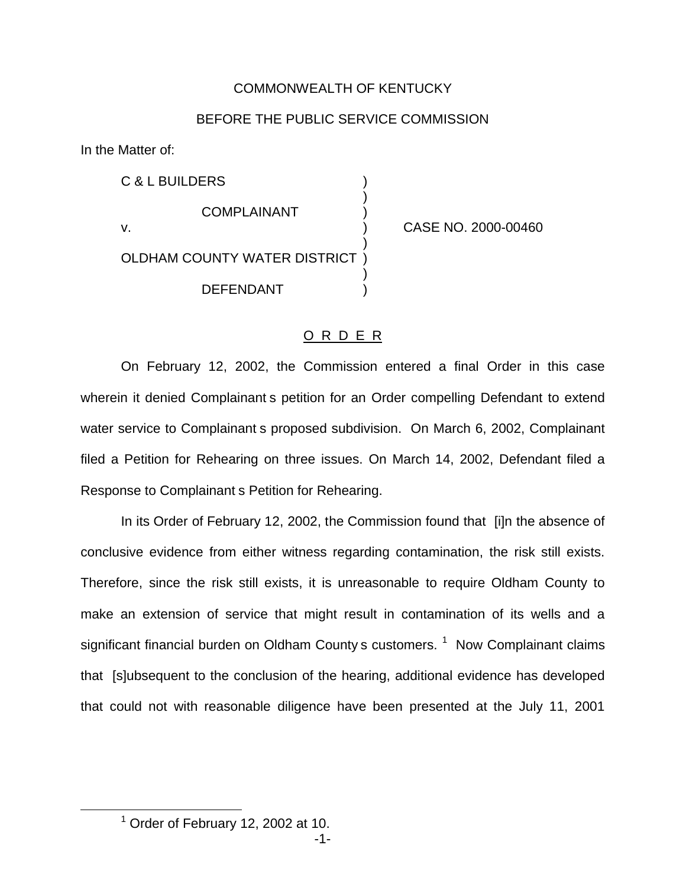## COMMONWEALTH OF KENTUCKY

# BEFORE THE PUBLIC SERVICE COMMISSION

In the Matter of:

C & L BUILDERS ) ) **COMPLAINANT** v. ) CASE NO. 2000-00460 ) OLDHAM COUNTY WATER DISTRICT ) ) DEFENDANT )

# O R D E R

On February 12, 2002, the Commission entered a final Order in this case wherein it denied Complainant s petition for an Order compelling Defendant to extend water service to Complainant s proposed subdivision. On March 6, 2002, Complainant filed a Petition for Rehearing on three issues. On March 14, 2002, Defendant filed a Response to Complainant s Petition for Rehearing.

In its Order of February 12, 2002, the Commission found that [i]n the absence of conclusive evidence from either witness regarding contamination, the risk still exists. Therefore, since the risk still exists, it is unreasonable to require Oldham County to make an extension of service that might result in contamination of its wells and a significant financial burden on Oldham County s customers.  $1$  Now Complainant claims that [s]ubsequent to the conclusion of the hearing, additional evidence has developed that could not with reasonable diligence have been presented at the July 11, 2001

 $<sup>1</sup>$  Order of February 12, 2002 at 10.</sup>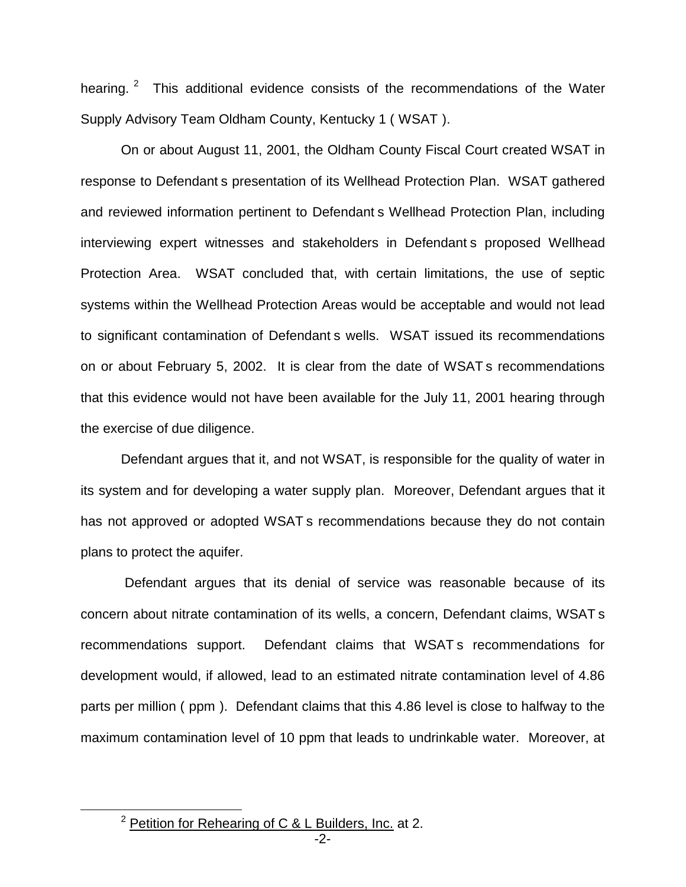hearing. <sup>2</sup> This additional evidence consists of the recommendations of the Water Supply Advisory Team Oldham County, Kentucky 1 ( WSAT ).

On or about August 11, 2001, the Oldham County Fiscal Court created WSAT in response to Defendant s presentation of its Wellhead Protection Plan. WSAT gathered and reviewed information pertinent to Defendant s Wellhead Protection Plan, including interviewing expert witnesses and stakeholders in Defendant s proposed Wellhead Protection Area. WSAT concluded that, with certain limitations, the use of septic systems within the Wellhead Protection Areas would be acceptable and would not lead to significant contamination of Defendant s wells. WSAT issued its recommendations on or about February 5, 2002. It is clear from the date of WSAT s recommendations that this evidence would not have been available for the July 11, 2001 hearing through the exercise of due diligence.

Defendant argues that it, and not WSAT, is responsible for the quality of water in its system and for developing a water supply plan. Moreover, Defendant argues that it has not approved or adopted WSAT s recommendations because they do not contain plans to protect the aquifer.

Defendant argues that its denial of service was reasonable because of its concern about nitrate contamination of its wells, a concern, Defendant claims, WSAT s recommendations support. Defendant claims that WSAT s recommendations for development would, if allowed, lead to an estimated nitrate contamination level of 4.86 parts per million ( ppm ). Defendant claims that this 4.86 level is close to halfway to the maximum contamination level of 10 ppm that leads to undrinkable water. Moreover, at

 $2$  Petition for Rehearing of C & L Builders, Inc. at 2.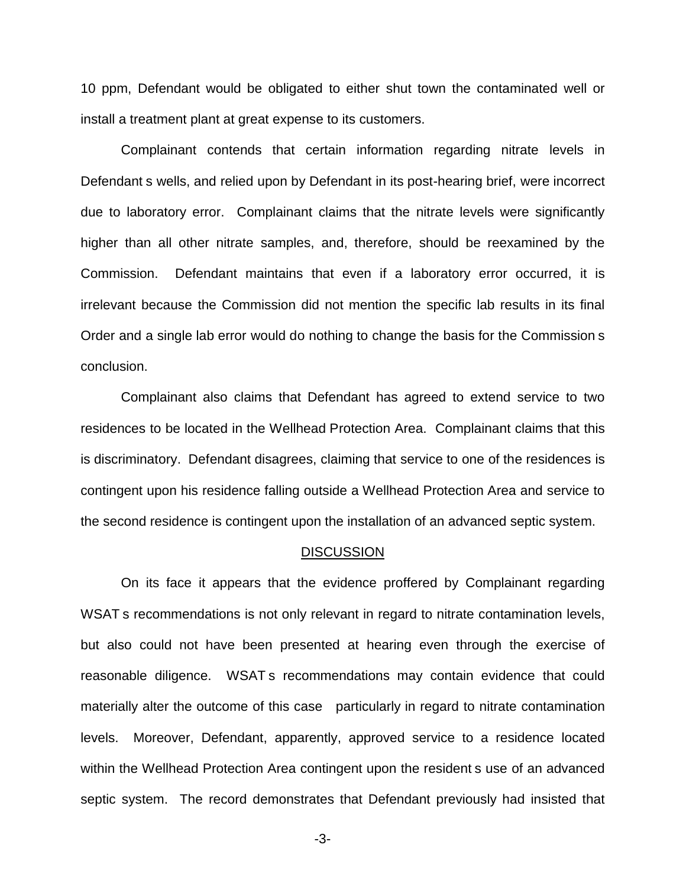10 ppm, Defendant would be obligated to either shut town the contaminated well or install a treatment plant at great expense to its customers.

Complainant contends that certain information regarding nitrate levels in Defendant s wells, and relied upon by Defendant in its post-hearing brief, were incorrect due to laboratory error. Complainant claims that the nitrate levels were significantly higher than all other nitrate samples, and, therefore, should be reexamined by the Commission. Defendant maintains that even if a laboratory error occurred, it is irrelevant because the Commission did not mention the specific lab results in its final Order and a single lab error would do nothing to change the basis for the Commission s conclusion.

Complainant also claims that Defendant has agreed to extend service to two residences to be located in the Wellhead Protection Area. Complainant claims that this is discriminatory. Defendant disagrees, claiming that service to one of the residences is contingent upon his residence falling outside a Wellhead Protection Area and service to the second residence is contingent upon the installation of an advanced septic system.

#### **DISCUSSION**

On its face it appears that the evidence proffered by Complainant regarding WSAT s recommendations is not only relevant in regard to nitrate contamination levels, but also could not have been presented at hearing even through the exercise of reasonable diligence. WSAT s recommendations may contain evidence that could materially alter the outcome of this case particularly in regard to nitrate contamination levels. Moreover, Defendant, apparently, approved service to a residence located within the Wellhead Protection Area contingent upon the resident s use of an advanced septic system. The record demonstrates that Defendant previously had insisted that

-3-